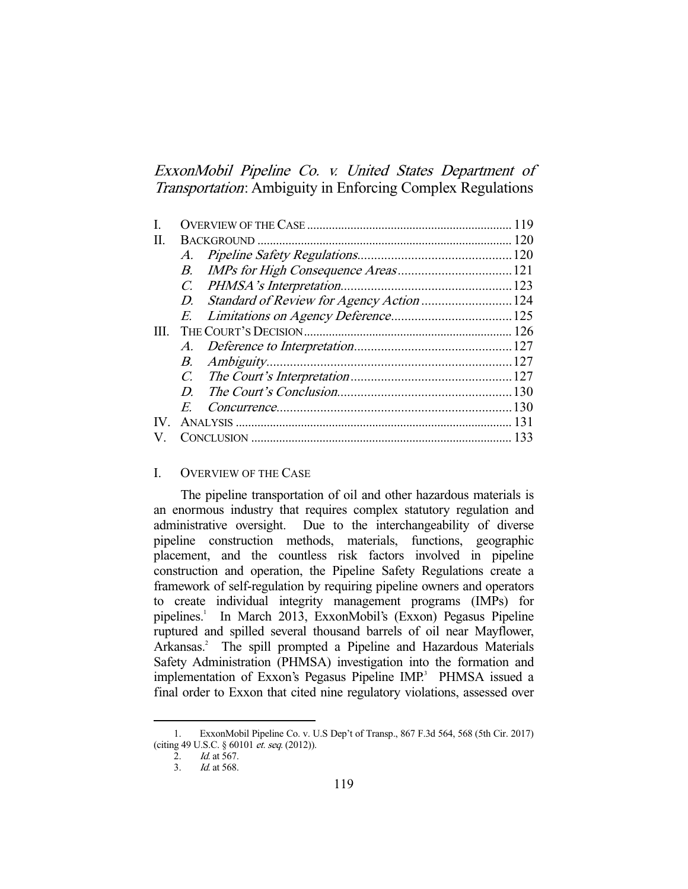ExxonMobil Pipeline Co. v. United States Department of Transportation: Ambiguity in Enforcing Complex Regulations

| В.             |  |                                                                  |
|----------------|--|------------------------------------------------------------------|
|                |  |                                                                  |
|                |  |                                                                  |
|                |  |                                                                  |
| HI.            |  |                                                                  |
|                |  |                                                                  |
| В.             |  |                                                                  |
|                |  |                                                                  |
| $\overline{D}$ |  |                                                                  |
| $\overline{E}$ |  |                                                                  |
|                |  |                                                                  |
|                |  |                                                                  |
|                |  | A.<br>D. Standard of Review for Agency Action 124<br>$C_{\cdot}$ |

# I. OVERVIEW OF THE CASE

 The pipeline transportation of oil and other hazardous materials is an enormous industry that requires complex statutory regulation and administrative oversight. Due to the interchangeability of diverse pipeline construction methods, materials, functions, geographic placement, and the countless risk factors involved in pipeline construction and operation, the Pipeline Safety Regulations create a framework of self-regulation by requiring pipeline owners and operators to create individual integrity management programs (IMPs) for pipelines.<sup>1</sup> In March 2013, ExxonMobil's (Exxon) Pegasus Pipeline ruptured and spilled several thousand barrels of oil near Mayflower, Arkansas.<sup>2</sup> The spill prompted a Pipeline and Hazardous Materials Safety Administration (PHMSA) investigation into the formation and implementation of Exxon's Pegasus Pipeline IMP.<sup>3</sup> PHMSA issued a final order to Exxon that cited nine regulatory violations, assessed over

 <sup>1.</sup> ExxonMobil Pipeline Co. v. U.S Dep't of Transp., 867 F.3d 564, 568 (5th Cir. 2017) (citing 49 U.S.C. § 60101 et. seq. (2012)).

<sup>2.</sup> *Id.* at 567.

 <sup>3.</sup> Id. at 568.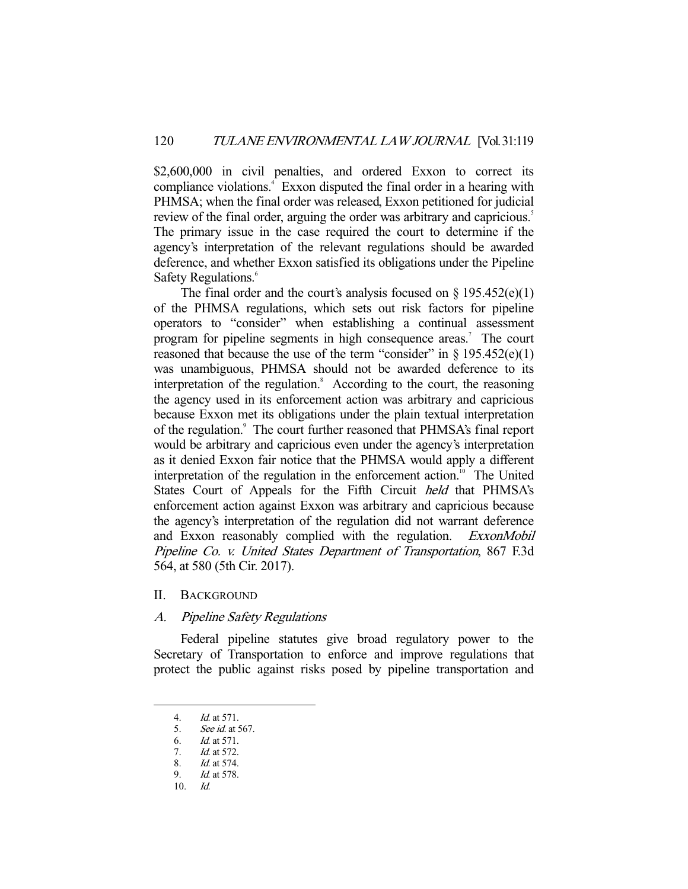\$2,600,000 in civil penalties, and ordered Exxon to correct its compliance violations.<sup>4</sup> Exxon disputed the final order in a hearing with PHMSA; when the final order was released, Exxon petitioned for judicial review of the final order, arguing the order was arbitrary and capricious.<sup>5</sup> The primary issue in the case required the court to determine if the agency's interpretation of the relevant regulations should be awarded deference, and whether Exxon satisfied its obligations under the Pipeline Safety Regulations.<sup>6</sup>

The final order and the court's analysis focused on  $\S$  195.452(e)(1) of the PHMSA regulations, which sets out risk factors for pipeline operators to "consider" when establishing a continual assessment program for pipeline segments in high consequence areas.<sup>7</sup> The court reasoned that because the use of the term "consider" in  $\S$  195.452(e)(1) was unambiguous, PHMSA should not be awarded deference to its interpretation of the regulation.<sup>8</sup> According to the court, the reasoning the agency used in its enforcement action was arbitrary and capricious because Exxon met its obligations under the plain textual interpretation of the regulation.<sup>9</sup> The court further reasoned that PHMSA's final report would be arbitrary and capricious even under the agency's interpretation as it denied Exxon fair notice that the PHMSA would apply a different interpretation of the regulation in the enforcement action.<sup>10</sup> The United States Court of Appeals for the Fifth Circuit held that PHMSA's enforcement action against Exxon was arbitrary and capricious because the agency's interpretation of the regulation did not warrant deference and Exxon reasonably complied with the regulation. ExxonMobil Pipeline Co. v. United States Department of Transportation, 867 F.3d 564, at 580 (5th Cir. 2017).

#### II. BACKGROUND

## A. Pipeline Safety Regulations

 Federal pipeline statutes give broad regulatory power to the Secretary of Transportation to enforce and improve regulations that protect the public against risks posed by pipeline transportation and

 <sup>4.</sup> Id. at 571.

 <sup>5.</sup> See id. at 567.

 <sup>6.</sup> Id. at 571.

 <sup>7.</sup> Id. at 572.

 <sup>8.</sup> Id. at 574.

 <sup>9.</sup> Id. at 578.

 $10.$  Id.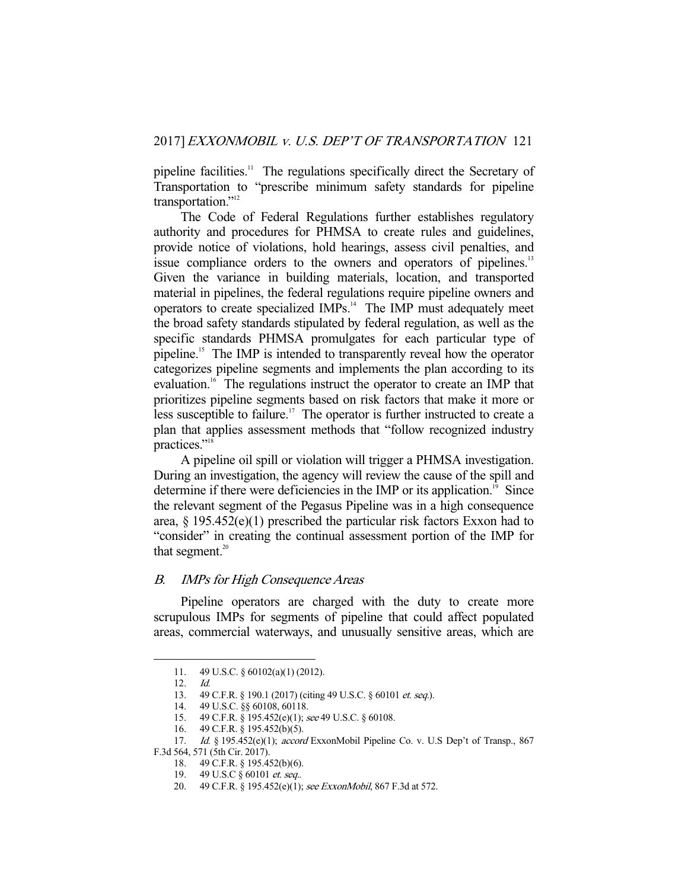pipeline facilities.<sup>11</sup> The regulations specifically direct the Secretary of Transportation to "prescribe minimum safety standards for pipeline transportation."<sup>12</sup>

 The Code of Federal Regulations further establishes regulatory authority and procedures for PHMSA to create rules and guidelines, provide notice of violations, hold hearings, assess civil penalties, and issue compliance orders to the owners and operators of pipelines.<sup>13</sup> Given the variance in building materials, location, and transported material in pipelines, the federal regulations require pipeline owners and operators to create specialized IMPs.14 The IMP must adequately meet the broad safety standards stipulated by federal regulation, as well as the specific standards PHMSA promulgates for each particular type of pipeline.15 The IMP is intended to transparently reveal how the operator categorizes pipeline segments and implements the plan according to its evaluation.<sup>16</sup> The regulations instruct the operator to create an IMP that prioritizes pipeline segments based on risk factors that make it more or less susceptible to failure.<sup>17</sup> The operator is further instructed to create a plan that applies assessment methods that "follow recognized industry practices."<sup>18</sup>

 A pipeline oil spill or violation will trigger a PHMSA investigation. During an investigation, the agency will review the cause of the spill and determine if there were deficiencies in the IMP or its application.<sup>19</sup> Since the relevant segment of the Pegasus Pipeline was in a high consequence area,  $\S$  195.452(e)(1) prescribed the particular risk factors Exxon had to "consider" in creating the continual assessment portion of the IMP for that segment. $20$ 

# B. IMPs for High Consequence Areas

 Pipeline operators are charged with the duty to create more scrupulous IMPs for segments of pipeline that could affect populated areas, commercial waterways, and unusually sensitive areas, which are

 <sup>11. 49</sup> U.S.C. § 60102(a)(1) (2012).

 <sup>12.</sup> Id.

<sup>13. 49</sup> C.F.R. § 190.1 (2017) (citing 49 U.S.C. § 60101 *et. seq.*).

 <sup>14. 49</sup> U.S.C. §§ 60108, 60118.

<sup>15. 49</sup> C.F.R. § 195.452(e)(1); see 49 U.S.C. § 60108.

 <sup>16. 49</sup> C.F.R. § 195.452(b)(5).

<sup>17.</sup> *Id.* § 195.452(e)(1); *accord* ExxonMobil Pipeline Co. v. U.S Dep't of Transp., 867

F.3d 564, 571 (5th Cir. 2017).

 <sup>18. 49</sup> C.F.R. § 195.452(b)(6).

<sup>19. 49</sup> U.S.C  $\check{g}$  60101 et. seq..

<sup>20. 49</sup> C.F.R. § 195.452(e)(1); see ExxonMobil, 867 F.3d at 572.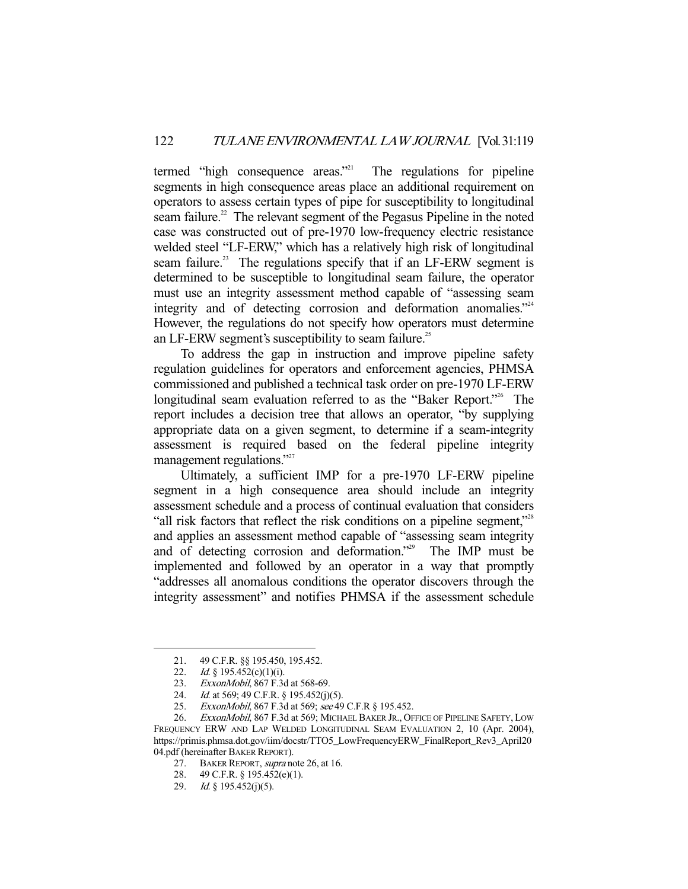termed "high consequence areas."<sup>21</sup> The regulations for pipeline segments in high consequence areas place an additional requirement on operators to assess certain types of pipe for susceptibility to longitudinal seam failure.<sup>22</sup> The relevant segment of the Pegasus Pipeline in the noted case was constructed out of pre-1970 low-frequency electric resistance welded steel "LF-ERW," which has a relatively high risk of longitudinal seam failure.<sup>23</sup> The regulations specify that if an LF-ERW segment is determined to be susceptible to longitudinal seam failure, the operator must use an integrity assessment method capable of "assessing seam integrity and of detecting corrosion and deformation anomalies."24 However, the regulations do not specify how operators must determine an LF-ERW segment's susceptibility to seam failure.<sup>25</sup>

 To address the gap in instruction and improve pipeline safety regulation guidelines for operators and enforcement agencies, PHMSA commissioned and published a technical task order on pre-1970 LF-ERW longitudinal seam evaluation referred to as the "Baker Report."<sup>26</sup> The report includes a decision tree that allows an operator, "by supplying appropriate data on a given segment, to determine if a seam-integrity assessment is required based on the federal pipeline integrity management regulations."<sup>27</sup>

 Ultimately, a sufficient IMP for a pre-1970 LF-ERW pipeline segment in a high consequence area should include an integrity assessment schedule and a process of continual evaluation that considers "all risk factors that reflect the risk conditions on a pipeline segment,"<sup>28</sup> and applies an assessment method capable of "assessing seam integrity and of detecting corrosion and deformation."<sup>29</sup> The IMP must be implemented and followed by an operator in a way that promptly "addresses all anomalous conditions the operator discovers through the integrity assessment" and notifies PHMSA if the assessment schedule

 <sup>21. 49</sup> C.F.R. §§ 195.450, 195.452.

<sup>22.</sup> *Id.* § 195.452(c)(1)(i).

 <sup>23.</sup> ExxonMobil, 867 F.3d at 568-69.

<sup>24.</sup> *Id.* at 569; 49 C.F.R. § 195.452(j)(5).

<sup>25.</sup> ExxonMobil, 867 F.3d at 569; see 49 C.F.R § 195.452.

<sup>26.</sup> ExxonMobil, 867 F.3d at 569; MICHAEL BAKER JR., OFFICE OF PIPELINE SAFETY, LOW FREQUENCY ERW AND LAP WELDED LONGITUDINAL SEAM EVALUATION 2, 10 (Apr. 2004), https://primis.phmsa.dot.gov/iim/docstr/TTO5\_LowFrequencyERW\_FinalReport\_Rev3\_April20 04.pdf (hereinafter BAKER REPORT).

<sup>27.</sup> BAKER REPORT, *supra* note 26, at 16.

 <sup>28. 49</sup> C.F.R. § 195.452(e)(1).

<sup>29.</sup> *Id.* § 195.452(j)(5).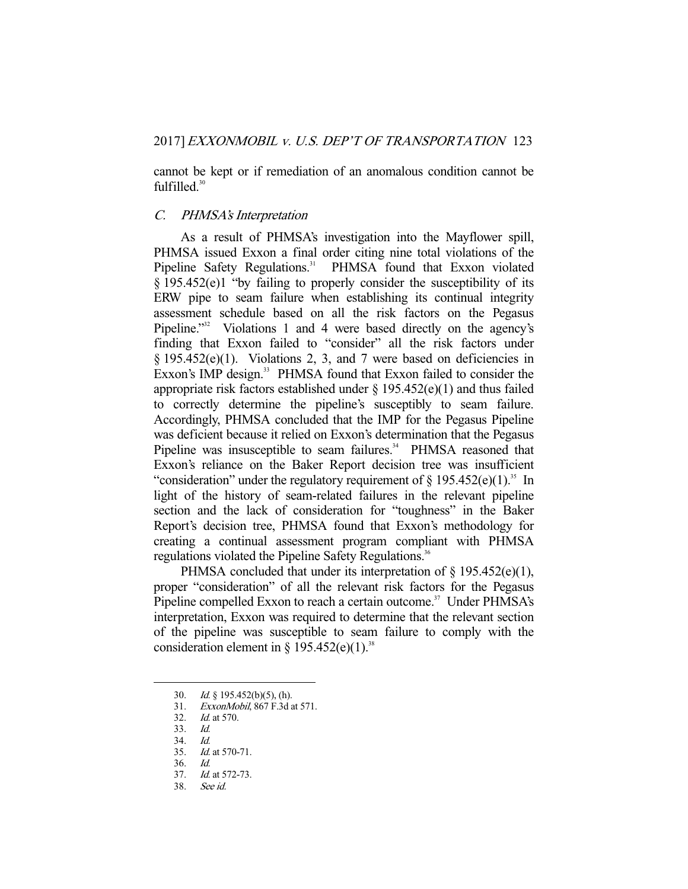cannot be kept or if remediation of an anomalous condition cannot be fulfilled.<sup>30</sup>

# C. PHMSA's Interpretation

 As a result of PHMSA's investigation into the Mayflower spill, PHMSA issued Exxon a final order citing nine total violations of the Pipeline Safety Regulations.<sup>31</sup> PHMSA found that Exxon violated § 195.452(e)1 "by failing to properly consider the susceptibility of its ERW pipe to seam failure when establishing its continual integrity assessment schedule based on all the risk factors on the Pegasus Pipeline.<sup>"32</sup> Violations 1 and 4 were based directly on the agency's finding that Exxon failed to "consider" all the risk factors under  $§$  195.452(e)(1). Violations 2, 3, and 7 were based on deficiencies in Exxon's IMP design.<sup>33</sup> PHMSA found that Exxon failed to consider the appropriate risk factors established under  $\S 195.452(e)(1)$  and thus failed to correctly determine the pipeline's susceptibly to seam failure. Accordingly, PHMSA concluded that the IMP for the Pegasus Pipeline was deficient because it relied on Exxon's determination that the Pegasus Pipeline was insusceptible to seam failures.<sup>34</sup> PHMSA reasoned that Exxon's reliance on the Baker Report decision tree was insufficient "consideration" under the regulatory requirement of  $\S 195.452(e)(1)^{35}$  In light of the history of seam-related failures in the relevant pipeline section and the lack of consideration for "toughness" in the Baker Report's decision tree, PHMSA found that Exxon's methodology for creating a continual assessment program compliant with PHMSA regulations violated the Pipeline Safety Regulations.<sup>36</sup>

PHMSA concluded that under its interpretation of  $\S$  195.452(e)(1), proper "consideration" of all the relevant risk factors for the Pegasus Pipeline compelled Exxon to reach a certain outcome.<sup>37</sup> Under PHMSA's interpretation, Exxon was required to determine that the relevant section of the pipeline was susceptible to seam failure to comply with the consideration element in  $\S$  195.452(e)(1).<sup>38</sup>

-

38. See id.

 <sup>30.</sup> Id. § 195.452(b)(5), (h).

 <sup>31.</sup> ExxonMobil, 867 F.3d at 571.

 <sup>32.</sup> Id. at 570.

 <sup>33.</sup> Id.

 <sup>34.</sup> Id.

<sup>35.</sup> *Id.* at 570-71.

 <sup>36.</sup> Id.

 <sup>37.</sup> Id. at 572-73.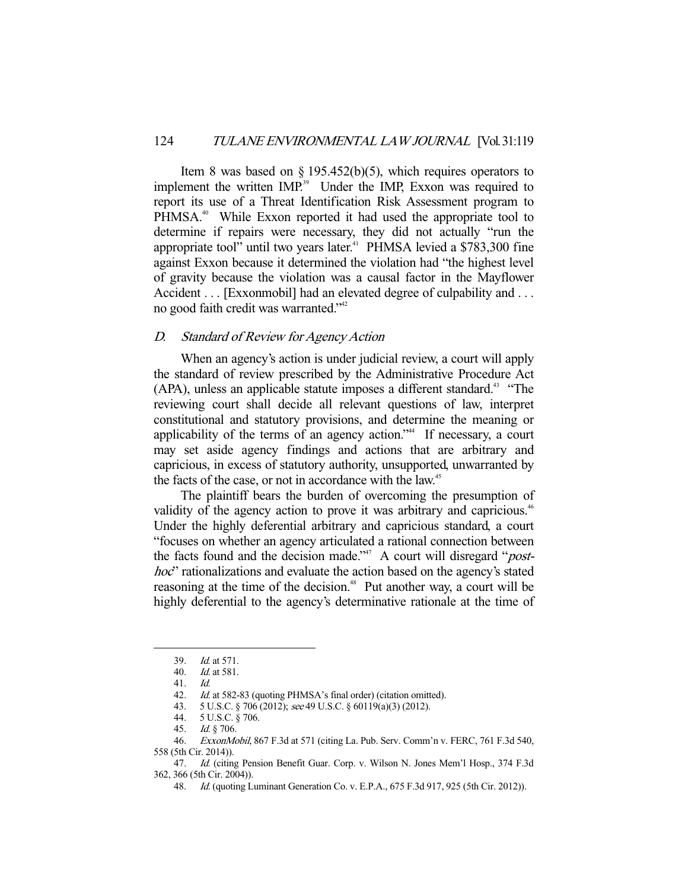Item 8 was based on  $\S 195.452(b)(5)$ , which requires operators to implement the written IMP.<sup>39</sup> Under the IMP, Exxon was required to report its use of a Threat Identification Risk Assessment program to PHMSA.<sup>40</sup> While Exxon reported it had used the appropriate tool to determine if repairs were necessary, they did not actually "run the appropriate tool" until two years later. $41$  PHMSA levied a \$783,300 fine against Exxon because it determined the violation had "the highest level of gravity because the violation was a causal factor in the Mayflower Accident . . . [Exxonmobil] had an elevated degree of culpability and . . . no good faith credit was warranted."<sup>42</sup>

### D. Standard of Review for Agency Action

 When an agency's action is under judicial review, a court will apply the standard of review prescribed by the Administrative Procedure Act (APA), unless an applicable statute imposes a different standard.<sup>43</sup> "The reviewing court shall decide all relevant questions of law, interpret constitutional and statutory provisions, and determine the meaning or applicability of the terms of an agency action."<sup>44</sup> If necessary, a court may set aside agency findings and actions that are arbitrary and capricious, in excess of statutory authority, unsupported, unwarranted by the facts of the case, or not in accordance with the law.<sup>45</sup>

 The plaintiff bears the burden of overcoming the presumption of validity of the agency action to prove it was arbitrary and capricious.<sup>46</sup> Under the highly deferential arbitrary and capricious standard, a court "focuses on whether an agency articulated a rational connection between the facts found and the decision made."<sup>47</sup> A court will disregard "*post*hoc" rationalizations and evaluate the action based on the agency's stated reasoning at the time of the decision.<sup>48</sup> Put another way, a court will be highly deferential to the agency's determinative rationale at the time of

 <sup>39.</sup> Id. at 571.

 <sup>40.</sup> Id. at 581.

 <sup>41.</sup> Id.

<sup>42.</sup> Id. at 582-83 (quoting PHMSA's final order) (citation omitted).

 <sup>43. 5</sup> U.S.C. § 706 (2012); see 49 U.S.C. § 60119(a)(3) (2012).

 <sup>44. 5</sup> U.S.C. § 706.

 <sup>45.</sup> Id. § 706.

 <sup>46.</sup> ExxonMobil, 867 F.3d at 571 (citing La. Pub. Serv. Comm'n v. FERC, 761 F.3d 540, 558 (5th Cir. 2014)).

<sup>47.</sup> Id. (citing Pension Benefit Guar. Corp. v. Wilson N. Jones Mem'l Hosp., 374 F.3d 362, 366 (5th Cir. 2004)).

 <sup>48.</sup> Id. (quoting Luminant Generation Co. v. E.P.A., 675 F.3d 917, 925 (5th Cir. 2012)).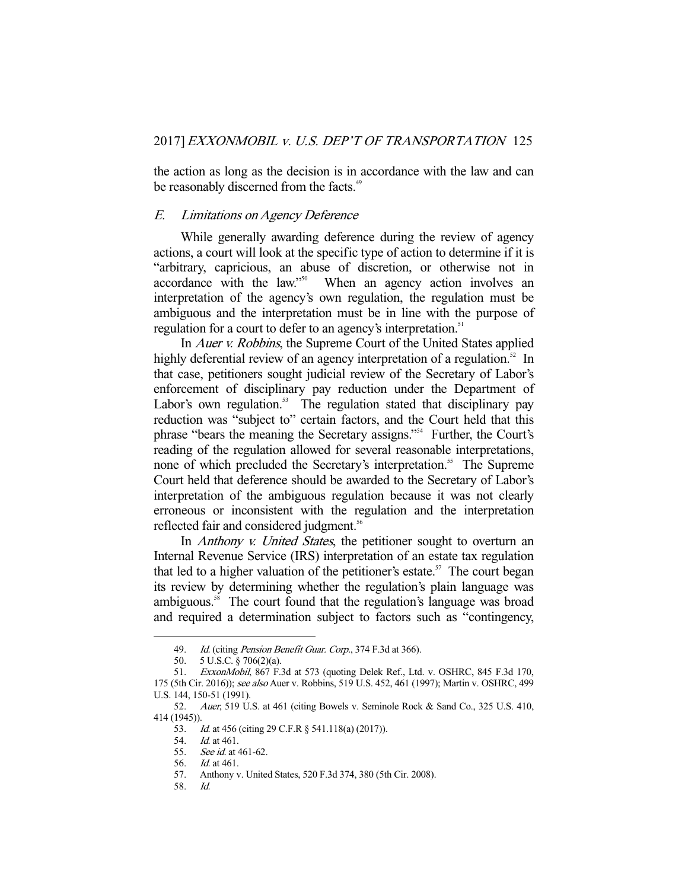the action as long as the decision is in accordance with the law and can be reasonably discerned from the facts.<sup>49</sup>

## E. Limitations on Agency Deference

 While generally awarding deference during the review of agency actions, a court will look at the specific type of action to determine if it is "arbitrary, capricious, an abuse of discretion, or otherwise not in accordance with the law."50 When an agency action involves an interpretation of the agency's own regulation, the regulation must be ambiguous and the interpretation must be in line with the purpose of regulation for a court to defer to an agency's interpretation.<sup>51</sup>

In *Auer v. Robbins*, the Supreme Court of the United States applied highly deferential review of an agency interpretation of a regulation.<sup>52</sup> In that case, petitioners sought judicial review of the Secretary of Labor's enforcement of disciplinary pay reduction under the Department of Labor's own regulation. $53$  The regulation stated that disciplinary pay reduction was "subject to" certain factors, and the Court held that this phrase "bears the meaning the Secretary assigns."54 Further, the Court's reading of the regulation allowed for several reasonable interpretations, none of which precluded the Secretary's interpretation.<sup>55</sup> The Supreme Court held that deference should be awarded to the Secretary of Labor's interpretation of the ambiguous regulation because it was not clearly erroneous or inconsistent with the regulation and the interpretation reflected fair and considered judgment.<sup>56</sup>

In *Anthony v. United States*, the petitioner sought to overturn an Internal Revenue Service (IRS) interpretation of an estate tax regulation that led to a higher valuation of the petitioner's estate.<sup>57</sup> The court began its review by determining whether the regulation's plain language was ambiguous.<sup>58</sup> The court found that the regulation's language was broad and required a determination subject to factors such as "contingency,

<sup>49.</sup> Id. (citing Pension Benefit Guar. Corp., 374 F.3d at 366).

 <sup>50. 5</sup> U.S.C. § 706(2)(a).

<sup>51.</sup> ExxonMobil, 867 F.3d at 573 (quoting Delek Ref., Ltd. v. OSHRC, 845 F.3d 170, 175 (5th Cir. 2016)); see also Auer v. Robbins, 519 U.S. 452, 461 (1997); Martin v. OSHRC, 499 U.S. 144, 150-51 (1991).

 <sup>52.</sup> Auer, 519 U.S. at 461 (citing Bowels v. Seminole Rock & Sand Co., 325 U.S. 410, 414 (1945)).

<sup>53.</sup> Id. at 456 (citing 29 C.F.R § 541.118(a) (2017)).

 <sup>54.</sup> Id. at 461.

<sup>55.</sup> *See id.* at 461-62.

 <sup>56.</sup> Id. at 461.

 <sup>57.</sup> Anthony v. United States, 520 F.3d 374, 380 (5th Cir. 2008).

 <sup>58.</sup> Id.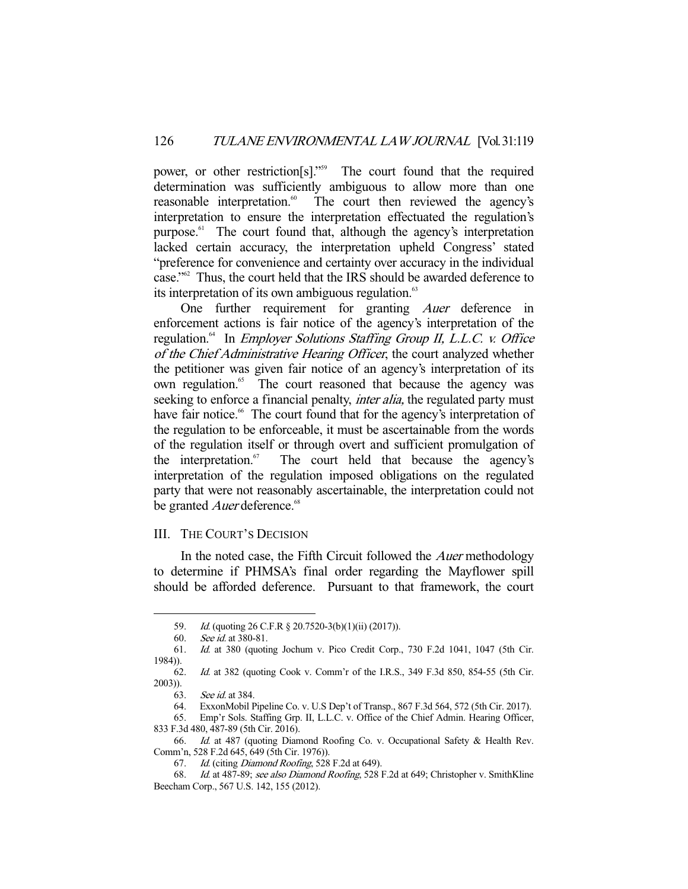power, or other restriction[s]."59 The court found that the required determination was sufficiently ambiguous to allow more than one reasonable interpretation.<sup>60</sup> The court then reviewed the agency's The court then reviewed the agency's interpretation to ensure the interpretation effectuated the regulation's purpose.<sup>61</sup> The court found that, although the agency's interpretation lacked certain accuracy, the interpretation upheld Congress' stated "preference for convenience and certainty over accuracy in the individual case."62 Thus, the court held that the IRS should be awarded deference to its interpretation of its own ambiguous regulation.<sup>63</sup>

 One further requirement for granting Auer deference in enforcement actions is fair notice of the agency's interpretation of the regulation.<sup>64</sup> In *Employer Solutions Staffing Group II, L.L.C. v. Office* of the Chief Administrative Hearing Officer, the court analyzed whether the petitioner was given fair notice of an agency's interpretation of its own regulation.<sup>65</sup> The court reasoned that because the agency was seeking to enforce a financial penalty, *inter alia*, the regulated party must have fair notice.<sup>66</sup> The court found that for the agency's interpretation of the regulation to be enforceable, it must be ascertainable from the words of the regulation itself or through overt and sufficient promulgation of the interpretation. $\delta$  The court held that because the agency's interpretation of the regulation imposed obligations on the regulated party that were not reasonably ascertainable, the interpretation could not be granted *Auer* deference.<sup>68</sup>

## III. THE COURT'S DECISION

In the noted case, the Fifth Circuit followed the *Auer* methodology to determine if PHMSA's final order regarding the Mayflower spill should be afforded deference. Pursuant to that framework, the court

 <sup>59.</sup> Id. (quoting 26 C.F.R § 20.7520-3(b)(1)(ii) (2017)).

 <sup>60.</sup> See id. at 380-81.

 <sup>61.</sup> Id. at 380 (quoting Jochum v. Pico Credit Corp., 730 F.2d 1041, 1047 (5th Cir. 1984)).

 <sup>62.</sup> Id. at 382 (quoting Cook v. Comm'r of the I.R.S., 349 F.3d 850, 854-55 (5th Cir. 2003)).

 <sup>63.</sup> See id. at 384.

 <sup>64.</sup> ExxonMobil Pipeline Co. v. U.S Dep't of Transp., 867 F.3d 564, 572 (5th Cir. 2017).

 <sup>65.</sup> Emp'r Sols. Staffing Grp. II, L.L.C. v. Office of the Chief Admin. Hearing Officer, 833 F.3d 480, 487-89 (5th Cir. 2016).

 <sup>66.</sup> Id. at 487 (quoting Diamond Roofing Co. v. Occupational Safety & Health Rev. Comm'n, 528 F.2d 645, 649 (5th Cir. 1976)).

 <sup>67.</sup> Id. (citing Diamond Roofing, 528 F.2d at 649).

 <sup>68.</sup> Id. at 487-89; see also Diamond Roofing, 528 F.2d at 649; Christopher v. SmithKline Beecham Corp., 567 U.S. 142, 155 (2012).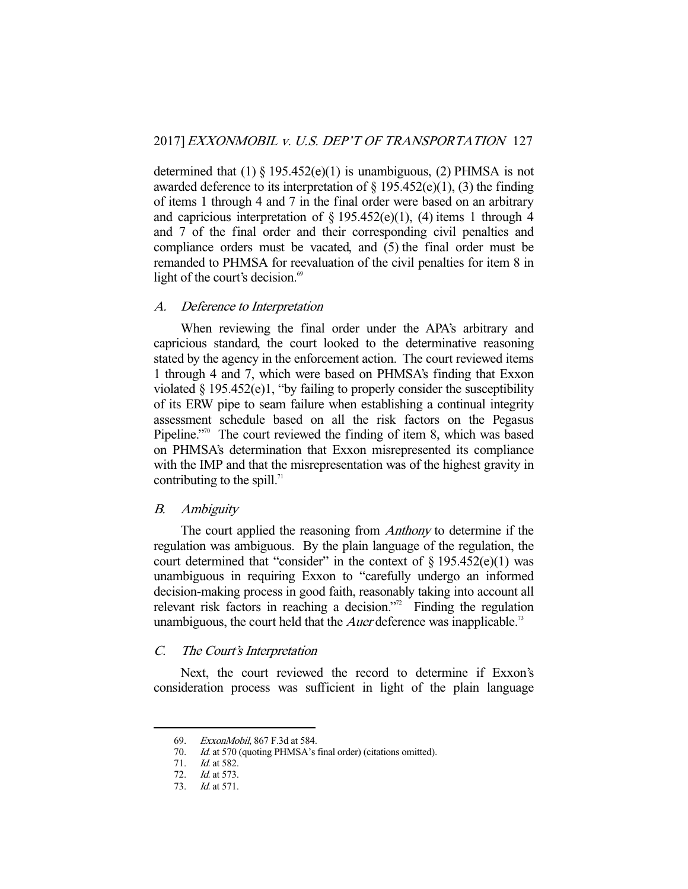determined that  $(1) \S 195.452(e)(1)$  is unambiguous,  $(2)$  PHMSA is not awarded deference to its interpretation of  $\S$  195.452(e)(1), (3) the finding of items 1 through 4 and 7 in the final order were based on an arbitrary and capricious interpretation of  $\S$  195.452(e)(1), (4) items 1 through 4 and 7 of the final order and their corresponding civil penalties and compliance orders must be vacated, and (5) the final order must be remanded to PHMSA for reevaluation of the civil penalties for item 8 in light of the court's decision.<sup>69</sup>

# A. Deference to Interpretation

 When reviewing the final order under the APA's arbitrary and capricious standard, the court looked to the determinative reasoning stated by the agency in the enforcement action. The court reviewed items 1 through 4 and 7, which were based on PHMSA's finding that Exxon violated  $\S 195.452(e)1$ , "by failing to properly consider the susceptibility of its ERW pipe to seam failure when establishing a continual integrity assessment schedule based on all the risk factors on the Pegasus Pipeline."<sup>70</sup> The court reviewed the finding of item 8, which was based on PHMSA's determination that Exxon misrepresented its compliance with the IMP and that the misrepresentation was of the highest gravity in contributing to the spill. $71$ 

### B. Ambiguity

 The court applied the reasoning from Anthony to determine if the regulation was ambiguous. By the plain language of the regulation, the court determined that "consider" in the context of  $\S$  195.452(e)(1) was unambiguous in requiring Exxon to "carefully undergo an informed decision-making process in good faith, reasonably taking into account all relevant risk factors in reaching a decision."<sup>2</sup> Finding the regulation unambiguous, the court held that the *Auer* deference was inapplicable.<sup>73</sup>

# C. The Court's Interpretation

 Next, the court reviewed the record to determine if Exxon's consideration process was sufficient in light of the plain language

 <sup>69.</sup> ExxonMobil, 867 F.3d at 584.

<sup>70.</sup> *Id.* at 570 (quoting PHMSA's final order) (citations omitted).

 <sup>71.</sup> Id. at 582.

 <sup>72.</sup> Id. at 573.

 <sup>73.</sup> Id. at 571.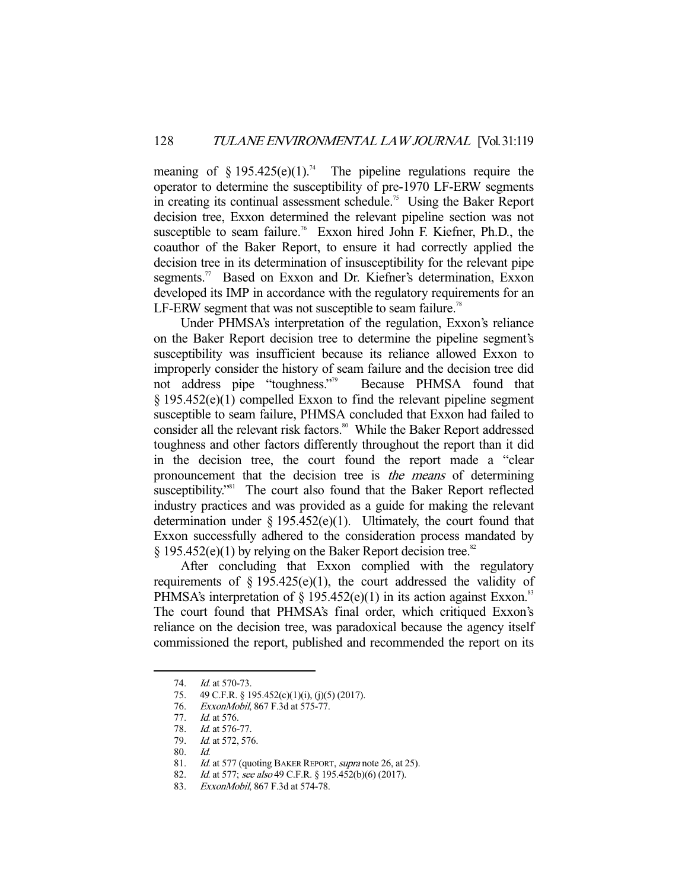meaning of  $\S 195.425(e)(1).^{74}$  The pipeline regulations require the operator to determine the susceptibility of pre-1970 LF-ERW segments in creating its continual assessment schedule.<sup>75</sup> Using the Baker Report decision tree, Exxon determined the relevant pipeline section was not susceptible to seam failure.<sup>76</sup> Exxon hired John F. Kiefner, Ph.D., the coauthor of the Baker Report, to ensure it had correctly applied the decision tree in its determination of insusceptibility for the relevant pipe segments.<sup>77</sup> Based on Exxon and Dr. Kiefner's determination, Exxon developed its IMP in accordance with the regulatory requirements for an LF-ERW segment that was not susceptible to seam failure.<sup>78</sup>

 Under PHMSA's interpretation of the regulation, Exxon's reliance on the Baker Report decision tree to determine the pipeline segment's susceptibility was insufficient because its reliance allowed Exxon to improperly consider the history of seam failure and the decision tree did not address pipe "toughness."79 Because PHMSA found that § 195.452(e)(1) compelled Exxon to find the relevant pipeline segment susceptible to seam failure, PHMSA concluded that Exxon had failed to consider all the relevant risk factors.<sup>80</sup> While the Baker Report addressed toughness and other factors differently throughout the report than it did in the decision tree, the court found the report made a "clear pronouncement that the decision tree is the means of determining susceptibility."<sup>81</sup> The court also found that the Baker Report reflected industry practices and was provided as a guide for making the relevant determination under  $\S$  195.452(e)(1). Ultimately, the court found that Exxon successfully adhered to the consideration process mandated by  $\S 195.452(e)(1)$  by relying on the Baker Report decision tree.<sup>82</sup>

 After concluding that Exxon complied with the regulatory requirements of  $\S$  195.425(e)(1), the court addressed the validity of PHMSA's interpretation of  $\S 195.452(e)(1)$  in its action against Exxon.<sup>83</sup> The court found that PHMSA's final order, which critiqued Exxon's reliance on the decision tree, was paradoxical because the agency itself commissioned the report, published and recommended the report on its

 <sup>74.</sup> Id. at 570-73.

 <sup>75. 49</sup> C.F.R. § 195.452(c)(1)(i), (j)(5) (2017).

 <sup>76.</sup> ExxonMobil, 867 F.3d at 575-77.

<sup>77.</sup> *Id.* at 576.<br>78. *Id.* at 576-

*Id.* at 576-77.

<sup>79.</sup> *Id.* at 572, 576.

 <sup>80.</sup> Id.

Id. at 577 (quoting BAKER REPORT, supra note 26, at 25).

<sup>82.</sup> Id. at 577; see also 49 C.F.R. § 195.452(b)(6) (2017).

<sup>83.</sup> ExxonMobil, 867 F.3d at 574-78.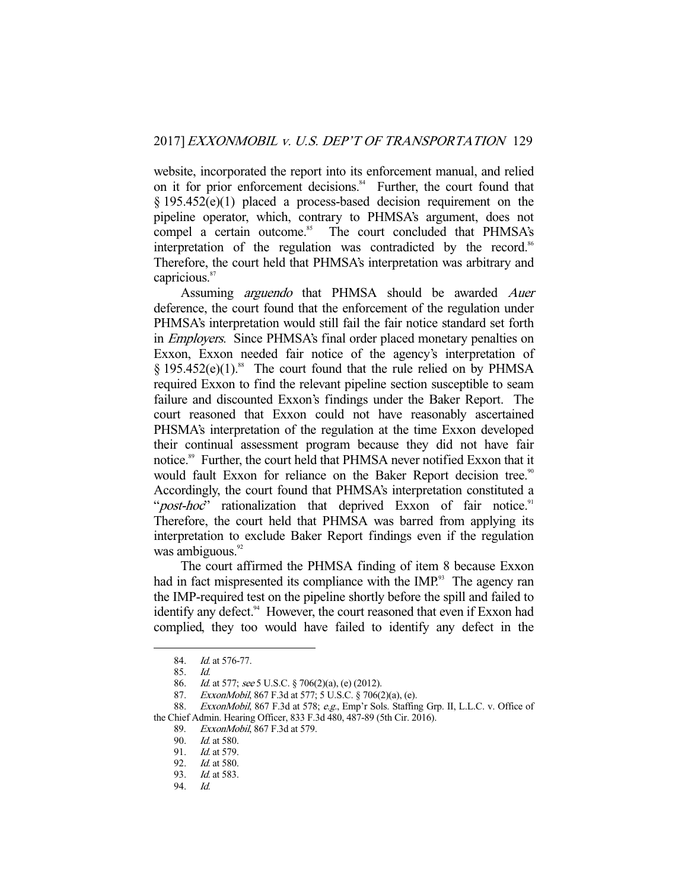website, incorporated the report into its enforcement manual, and relied on it for prior enforcement decisions.<sup>84</sup> Further, the court found that § 195.452(e)(1) placed a process-based decision requirement on the pipeline operator, which, contrary to PHMSA's argument, does not compel a certain outcome.<sup>85</sup> The court concluded that PHMSA's interpretation of the regulation was contradicted by the record. $86$ Therefore, the court held that PHMSA's interpretation was arbitrary and capricious.<sup>87</sup>

 Assuming arguendo that PHMSA should be awarded Auer deference, the court found that the enforcement of the regulation under PHMSA's interpretation would still fail the fair notice standard set forth in *Employers*. Since PHMSA's final order placed monetary penalties on Exxon, Exxon needed fair notice of the agency's interpretation of  $§$  195.452(e)(1).<sup>88</sup> The court found that the rule relied on by PHMSA required Exxon to find the relevant pipeline section susceptible to seam failure and discounted Exxon's findings under the Baker Report. The court reasoned that Exxon could not have reasonably ascertained PHSMA's interpretation of the regulation at the time Exxon developed their continual assessment program because they did not have fair notice.<sup>89</sup> Further, the court held that PHMSA never notified Exxon that it would fault Exxon for reliance on the Baker Report decision tree.<sup>90</sup> Accordingly, the court found that PHMSA's interpretation constituted a "post-hoc" rationalization that deprived Exxon of fair notice.<sup>91</sup> Therefore, the court held that PHMSA was barred from applying its interpretation to exclude Baker Report findings even if the regulation was ambiguous. $92$ 

 The court affirmed the PHMSA finding of item 8 because Exxon had in fact mispresented its compliance with the  $IMP<sup>93</sup>$ . The agency ran the IMP-required test on the pipeline shortly before the spill and failed to identify any defect.<sup>94</sup> However, the court reasoned that even if Exxon had complied, they too would have failed to identify any defect in the

- 86. *Id.* at 577; see 5 U.S.C. § 706(2)(a), (e) (2012).
- 87. ExxonMobil, 867 F.3d at 577; 5 U.S.C. § 706(2)(a), (e).

 <sup>84.</sup> Id. at 576-77.

 <sup>85.</sup> Id.

<sup>88.</sup> ExxonMobil, 867 F.3d at 578; e.g., Emp'r Sols. Staffing Grp. II, L.L.C. v. Office of the Chief Admin. Hearing Officer, 833 F.3d 480, 487-89 (5th Cir. 2016).

 <sup>89.</sup> ExxonMobil, 867 F.3d at 579.

 <sup>90.</sup> Id. at 580.

 <sup>91.</sup> Id. at 579.

 <sup>92.</sup> Id. at 580.

 <sup>93.</sup> Id. at 583.

 <sup>94.</sup> Id.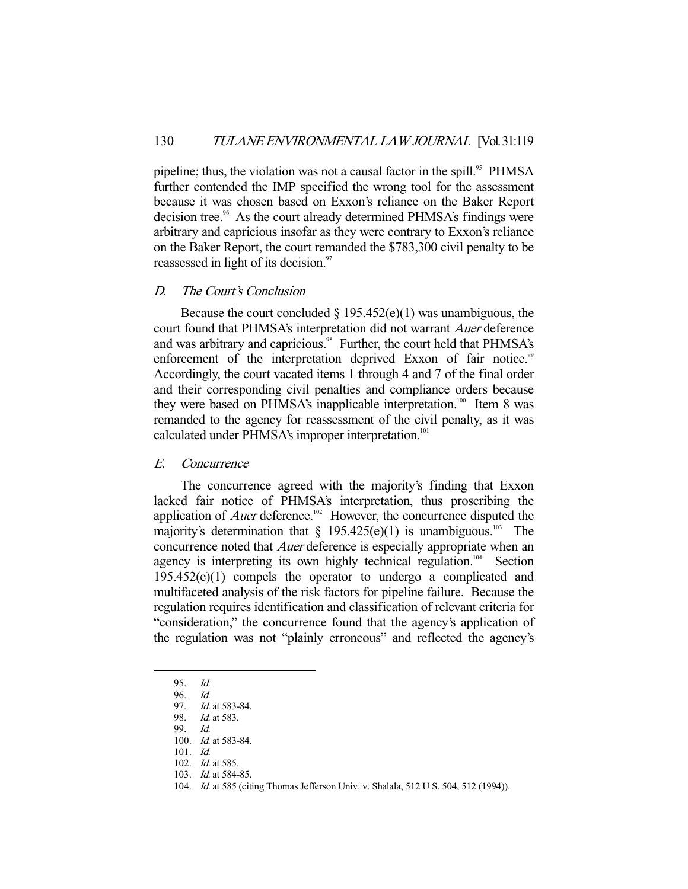pipeline; thus, the violation was not a causal factor in the spill.<sup>95</sup> PHMSA further contended the IMP specified the wrong tool for the assessment because it was chosen based on Exxon's reliance on the Baker Report decision tree.<sup>96</sup> As the court already determined PHMSA's findings were arbitrary and capricious insofar as they were contrary to Exxon's reliance on the Baker Report, the court remanded the \$783,300 civil penalty to be reassessed in light of its decision.<sup>97</sup>

### D. The Court's Conclusion

Because the court concluded  $\S 195.452(e)(1)$  was unambiguous, the court found that PHMSA's interpretation did not warrant Auer deference and was arbitrary and capricious.<sup>98</sup> Further, the court held that PHMSA's enforcement of the interpretation deprived Exxon of fair notice.<sup>99</sup> Accordingly, the court vacated items 1 through 4 and 7 of the final order and their corresponding civil penalties and compliance orders because they were based on PHMSA's inapplicable interpretation.<sup>100</sup> Item 8 was remanded to the agency for reassessment of the civil penalty, as it was calculated under PHMSA's improper interpretation.<sup>101</sup>

## E. Concurrence

 The concurrence agreed with the majority's finding that Exxon lacked fair notice of PHMSA's interpretation, thus proscribing the application of *Auer* deference.<sup>102</sup> However, the concurrence disputed the majority's determination that  $\S$  195.425(e)(1) is unambiguous.<sup>103</sup> The concurrence noted that *Auer* deference is especially appropriate when an agency is interpreting its own highly technical regulation.<sup>104</sup> Section 195.452(e)(1) compels the operator to undergo a complicated and multifaceted analysis of the risk factors for pipeline failure. Because the regulation requires identification and classification of relevant criteria for "consideration," the concurrence found that the agency's application of the regulation was not "plainly erroneous" and reflected the agency's

 <sup>95.</sup> Id.

 <sup>96.</sup> Id.

<sup>97.</sup> *Id.* at 583-84.

 <sup>98.</sup> Id. at 583.

 <sup>99.</sup> Id.

 <sup>100.</sup> Id. at 583-84.

 <sup>101.</sup> Id.

<sup>102.</sup> *Id.* at 585.

<sup>103.</sup> *Id.* at 584-85.

<sup>104.</sup> Id. at 585 (citing Thomas Jefferson Univ. v. Shalala, 512 U.S. 504, 512 (1994)).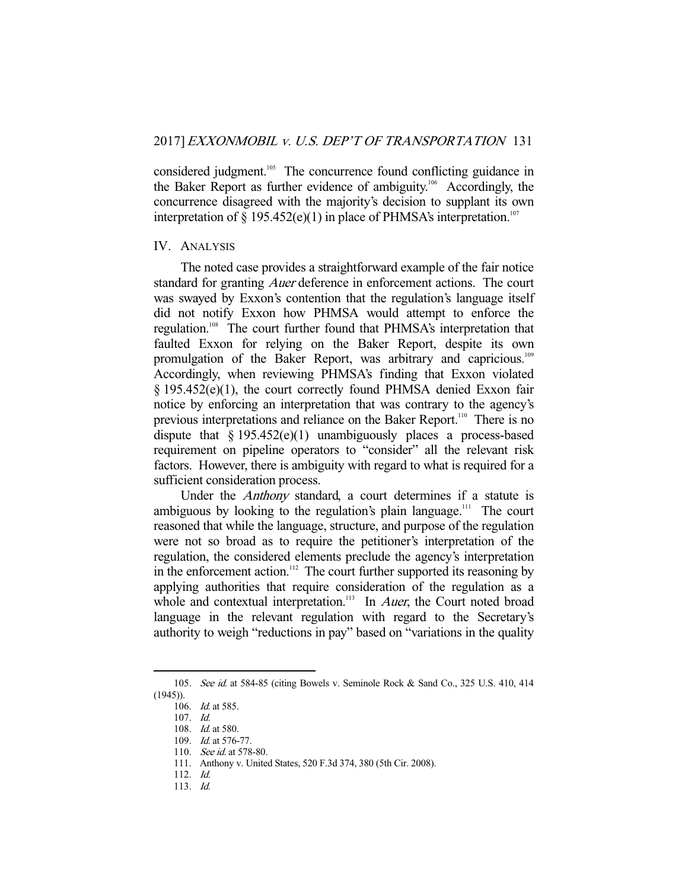considered judgment.<sup>105</sup> The concurrence found conflicting guidance in the Baker Report as further evidence of ambiguity.<sup>106</sup> Accordingly, the concurrence disagreed with the majority's decision to supplant its own interpretation of  $\S 195.452(e)(1)$  in place of PHMSA's interpretation.<sup>107</sup>

#### IV. ANALYSIS

 The noted case provides a straightforward example of the fair notice standard for granting *Auer* deference in enforcement actions. The court was swayed by Exxon's contention that the regulation's language itself did not notify Exxon how PHMSA would attempt to enforce the regulation.108 The court further found that PHMSA's interpretation that faulted Exxon for relying on the Baker Report, despite its own promulgation of the Baker Report, was arbitrary and capricious.<sup>109</sup> Accordingly, when reviewing PHMSA's finding that Exxon violated § 195.452(e)(1), the court correctly found PHMSA denied Exxon fair notice by enforcing an interpretation that was contrary to the agency's previous interpretations and reliance on the Baker Report.<sup>110</sup> There is no dispute that  $\S 195.452(e)(1)$  unambiguously places a process-based requirement on pipeline operators to "consider" all the relevant risk factors. However, there is ambiguity with regard to what is required for a sufficient consideration process.

Under the *Anthony* standard, a court determines if a statute is ambiguous by looking to the regulation's plain language.<sup>111</sup> The court reasoned that while the language, structure, and purpose of the regulation were not so broad as to require the petitioner's interpretation of the regulation, the considered elements preclude the agency's interpretation in the enforcement action.<sup>112</sup> The court further supported its reasoning by applying authorities that require consideration of the regulation as a whole and contextual interpretation.<sup>113</sup> In *Auer*, the Court noted broad language in the relevant regulation with regard to the Secretary's authority to weigh "reductions in pay" based on "variations in the quality

<sup>105.</sup> See id. at 584-85 (citing Bowels v. Seminole Rock & Sand Co., 325 U.S. 410, 414 (1945)).

 <sup>106.</sup> Id. at 585.

 <sup>107.</sup> Id.

 <sup>108.</sup> Id. at 580.

 <sup>109.</sup> Id. at 576-77.

<sup>110.</sup> See id. at 578-80.

 <sup>111.</sup> Anthony v. United States, 520 F.3d 374, 380 (5th Cir. 2008).

 <sup>112.</sup> Id.

 <sup>113.</sup> Id.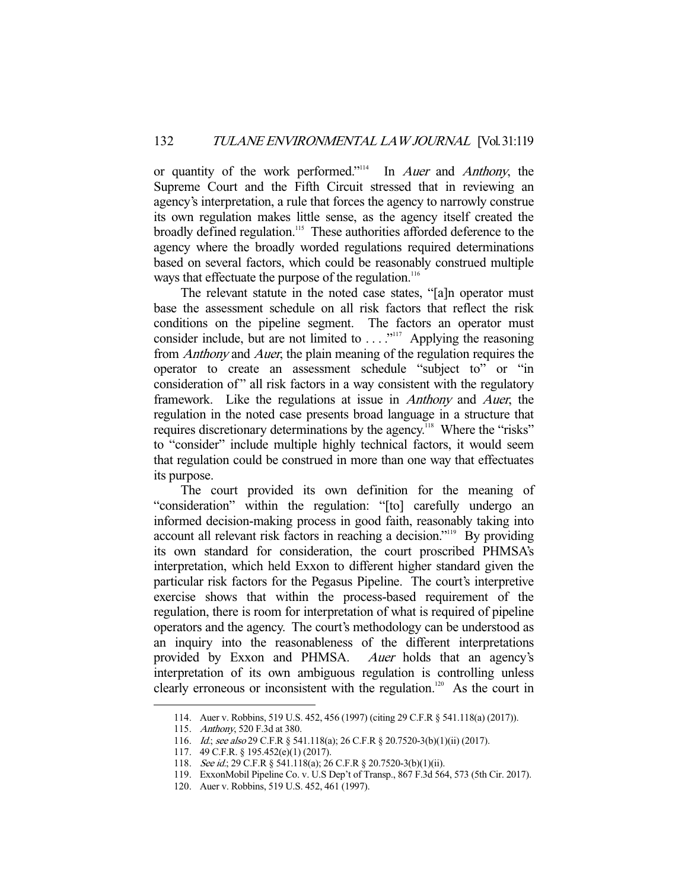or quantity of the work performed."<sup>114</sup> In *Auer* and *Anthony*, the Supreme Court and the Fifth Circuit stressed that in reviewing an agency's interpretation, a rule that forces the agency to narrowly construe its own regulation makes little sense, as the agency itself created the broadly defined regulation.<sup>115</sup> These authorities afforded deference to the agency where the broadly worded regulations required determinations based on several factors, which could be reasonably construed multiple ways that effectuate the purpose of the regulation.<sup>116</sup>

 The relevant statute in the noted case states, "[a]n operator must base the assessment schedule on all risk factors that reflect the risk conditions on the pipeline segment. The factors an operator must consider include, but are not limited to  $\dots$ <sup>2117</sup> Applying the reasoning from Anthony and Auer, the plain meaning of the regulation requires the operator to create an assessment schedule "subject to" or "in consideration of" all risk factors in a way consistent with the regulatory framework. Like the regulations at issue in Anthony and Auer, the regulation in the noted case presents broad language in a structure that requires discretionary determinations by the agency.<sup>118</sup> Where the "risks" to "consider" include multiple highly technical factors, it would seem that regulation could be construed in more than one way that effectuates its purpose.

 The court provided its own definition for the meaning of "consideration" within the regulation: "[to] carefully undergo an informed decision-making process in good faith, reasonably taking into account all relevant risk factors in reaching a decision."119 By providing its own standard for consideration, the court proscribed PHMSA's interpretation, which held Exxon to different higher standard given the particular risk factors for the Pegasus Pipeline. The court's interpretive exercise shows that within the process-based requirement of the regulation, there is room for interpretation of what is required of pipeline operators and the agency. The court's methodology can be understood as an inquiry into the reasonableness of the different interpretations provided by Exxon and PHMSA. Auer holds that an agency's interpretation of its own ambiguous regulation is controlling unless clearly erroneous or inconsistent with the regulation.<sup>120</sup> As the court in

 <sup>114.</sup> Auer v. Robbins, 519 U.S. 452, 456 (1997) (citing 29 C.F.R § 541.118(a) (2017)).

 <sup>115.</sup> Anthony, 520 F.3d at 380.

<sup>116.</sup> *Id.; see also* 29 C.F.R § 541.118(a); 26 C.F.R § 20.7520-3(b)(1)(ii) (2017).

 <sup>117. 49</sup> C.F.R. § 195.452(e)(1) (2017).

<sup>118.</sup> See id.; 29 C.F.R § 541.118(a); 26 C.F.R § 20.7520-3(b)(1)(ii).

 <sup>119.</sup> ExxonMobil Pipeline Co. v. U.S Dep't of Transp., 867 F.3d 564, 573 (5th Cir. 2017).

 <sup>120.</sup> Auer v. Robbins, 519 U.S. 452, 461 (1997).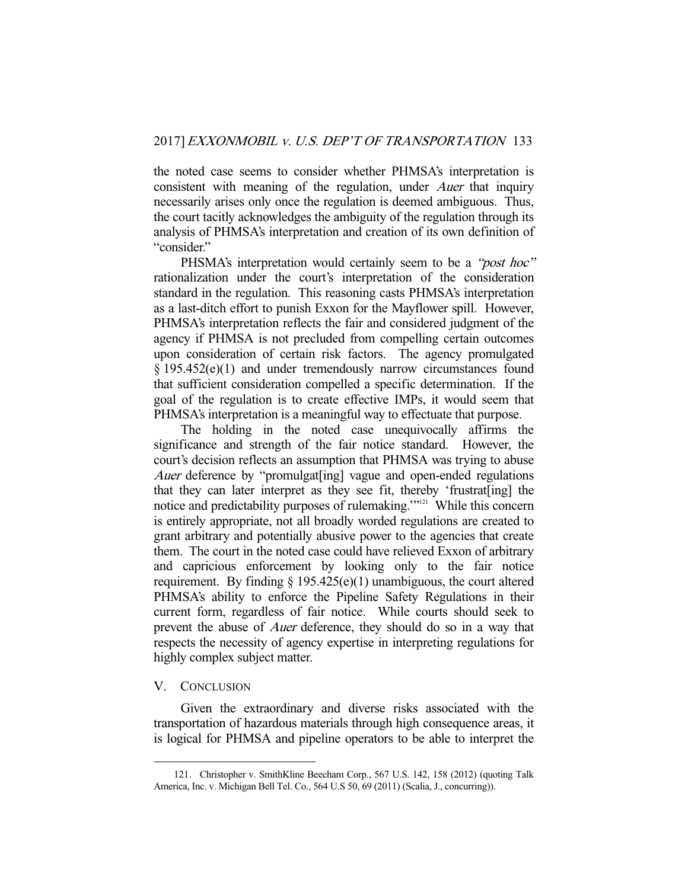the noted case seems to consider whether PHMSA's interpretation is consistent with meaning of the regulation, under *Auer* that inquiry necessarily arises only once the regulation is deemed ambiguous. Thus, the court tacitly acknowledges the ambiguity of the regulation through its analysis of PHMSA's interpretation and creation of its own definition of "consider."

PHSMA's interpretation would certainly seem to be a "*post hoc*" rationalization under the court's interpretation of the consideration standard in the regulation. This reasoning casts PHMSA's interpretation as a last-ditch effort to punish Exxon for the Mayflower spill. However, PHMSA's interpretation reflects the fair and considered judgment of the agency if PHMSA is not precluded from compelling certain outcomes upon consideration of certain risk factors. The agency promulgated § 195.452(e)(1) and under tremendously narrow circumstances found that sufficient consideration compelled a specific determination. If the goal of the regulation is to create effective IMPs, it would seem that PHMSA's interpretation is a meaningful way to effectuate that purpose.

 The holding in the noted case unequivocally affirms the significance and strength of the fair notice standard. However, the court's decision reflects an assumption that PHMSA was trying to abuse Auer deference by "promulgat[ing] vague and open-ended regulations that they can later interpret as they see fit, thereby 'frustrat[ing] the notice and predictability purposes of rulemaking."<sup>121</sup> While this concern is entirely appropriate, not all broadly worded regulations are created to grant arbitrary and potentially abusive power to the agencies that create them. The court in the noted case could have relieved Exxon of arbitrary and capricious enforcement by looking only to the fair notice requirement. By finding  $\S 195.425(e)(1)$  unambiguous, the court altered PHMSA's ability to enforce the Pipeline Safety Regulations in their current form, regardless of fair notice. While courts should seek to prevent the abuse of *Auer* deference, they should do so in a way that respects the necessity of agency expertise in interpreting regulations for highly complex subject matter.

#### V. CONCLUSION

-

 Given the extraordinary and diverse risks associated with the transportation of hazardous materials through high consequence areas, it is logical for PHMSA and pipeline operators to be able to interpret the

 <sup>121.</sup> Christopher v. SmithKline Beecham Corp., 567 U.S. 142, 158 (2012) (quoting Talk America, Inc. v. Michigan Bell Tel. Co., 564 U.S 50, 69 (2011) (Scalia, J., concurring)).